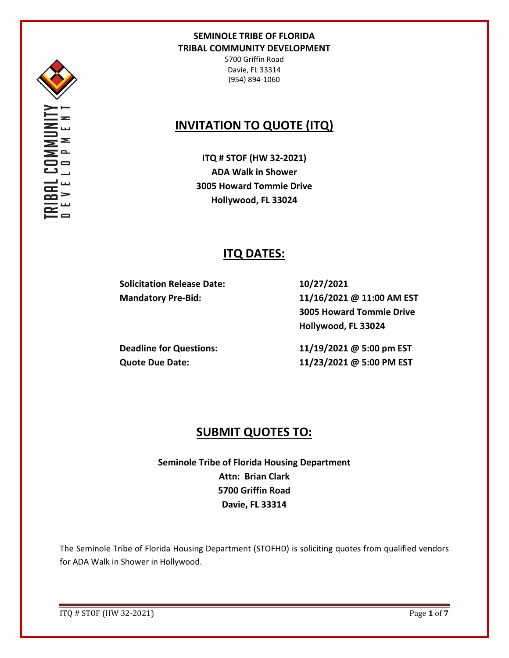

5700 Griffin Road Davie, FL 33314 (954) 894-1060

# **INVITATION TO QUOTE (ITQ)**

**ITQ # STOF (HW 32-2021) ADA Walk in Shower 3005 Howard Tommie Drive Hollywood, FL 33024**

# **ITQ DATES:**

**Solicitation Release Date: 10/27/2021**

**Mandatory Pre-Bid: 11/16/2021 @ 11:00 AM EST 3005 Howard Tommie Drive Hollywood, FL 33024**

**Deadline for Questions: 11/19/2021 @ 5:00 pm EST Quote Due Date: 11/23/2021 @ 5:00 PM EST**

# **SUBMIT QUOTES TO:**

**Seminole Tribe of Florida Housing Department Attn: Brian Clark 5700 Griffin Road Davie, FL 33314**

The Seminole Tribe of Florida Housing Department (STOFHD) is soliciting quotes from qualified vendors for ADA Walk in Shower in Hollywood.

ITQ # STOF (HW 32-2021) Page **1** of **7**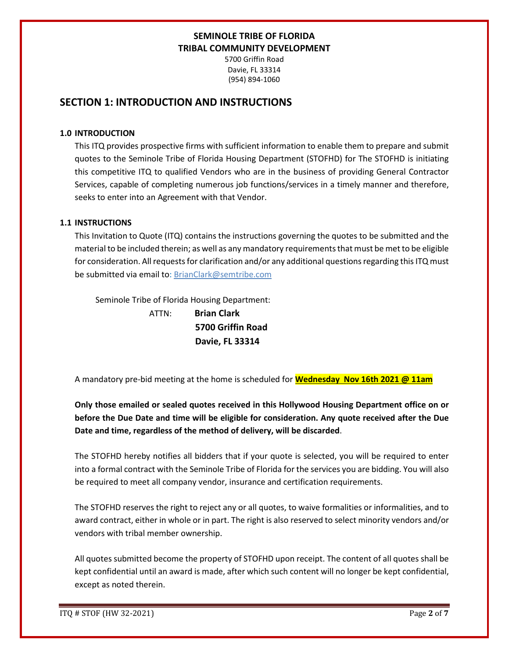5700 Griffin Road Davie, FL 33314 (954) 894-1060

## **SECTION 1: INTRODUCTION AND INSTRUCTIONS**

### **1.0 INTRODUCTION**

This ITQ provides prospective firms with sufficient information to enable them to prepare and submit quotes to the Seminole Tribe of Florida Housing Department (STOFHD) for The STOFHD is initiating this competitive ITQ to qualified Vendors who are in the business of providing General Contractor Services, capable of completing numerous job functions/services in a timely manner and therefore, seeks to enter into an Agreement with that Vendor.

### **1.1 INSTRUCTIONS**

This Invitation to Quote (ITQ) contains the instructions governing the quotes to be submitted and the material to be included therein; as well as any mandatory requirements that must be met to be eligible for consideration. All requests for clarification and/or any additional questions regarding this ITQ must be submitted via email to: BrianClark@semtribe.com

Seminole Tribe of Florida Housing Department:

 ATTN: **Brian Clark 5700 Griffin Road Davie, FL 33314**

A mandatory pre-bid meeting at the home is scheduled for **Wednesday Nov 16th 2021 @ 11am**

**Only those emailed or sealed quotes received in this Hollywood Housing Department office on or before the Due Date and time will be eligible for consideration. Any quote received after the Due Date and time, regardless of the method of delivery, will be discarded**.

The STOFHD hereby notifies all bidders that if your quote is selected, you will be required to enter into a formal contract with the Seminole Tribe of Florida for the services you are bidding. You will also be required to meet all company vendor, insurance and certification requirements.

The STOFHD reserves the right to reject any or all quotes, to waive formalities or informalities, and to award contract, either in whole or in part. The right is also reserved to select minority vendors and/or vendors with tribal member ownership.

All quotes submitted become the property of STOFHD upon receipt. The content of all quotes shall be kept confidential until an award is made, after which such content will no longer be kept confidential, except as noted therein.

ITQ # STOF (HW 32-2021) Page **2** of **7**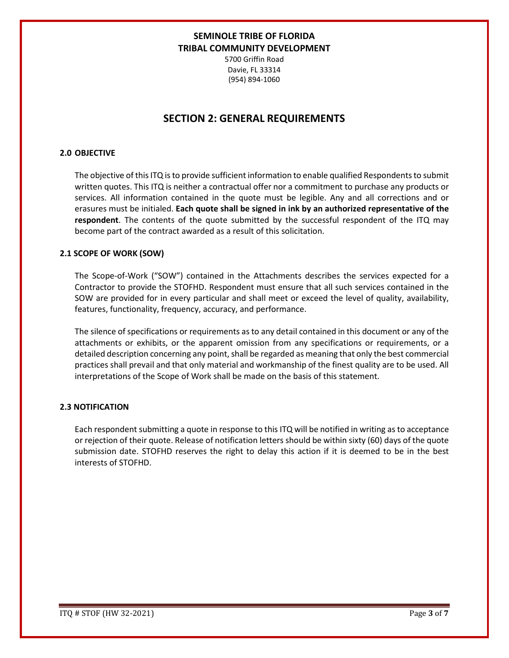5700 Griffin Road Davie, FL 33314 (954) 894-1060

## **SECTION 2: GENERAL REQUIREMENTS**

### **2.0 OBJECTIVE**

The objective of this ITQ is to provide sufficient information to enable qualified Respondents to submit written quotes. This ITQ is neither a contractual offer nor a commitment to purchase any products or services. All information contained in the quote must be legible. Any and all corrections and or erasures must be initialed. **Each quote shall be signed in ink by an authorized representative of the respondent**. The contents of the quote submitted by the successful respondent of the ITQ may become part of the contract awarded as a result of this solicitation.

### **2.1 SCOPE OF WORK (SOW)**

The Scope-of-Work ("SOW") contained in the Attachments describes the services expected for a Contractor to provide the STOFHD. Respondent must ensure that all such services contained in the SOW are provided for in every particular and shall meet or exceed the level of quality, availability, features, functionality, frequency, accuracy, and performance.

The silence of specifications or requirements as to any detail contained in this document or any of the attachments or exhibits, or the apparent omission from any specifications or requirements, or a detailed description concerning any point, shall be regarded as meaning that only the best commercial practices shall prevail and that only material and workmanship of the finest quality are to be used. All interpretations of the Scope of Work shall be made on the basis of this statement.

### **2.3 NOTIFICATION**

Each respondent submitting a quote in response to this ITQ will be notified in writing as to acceptance or rejection of their quote. Release of notification letters should be within sixty (60) days of the quote submission date. STOFHD reserves the right to delay this action if it is deemed to be in the best interests of STOFHD.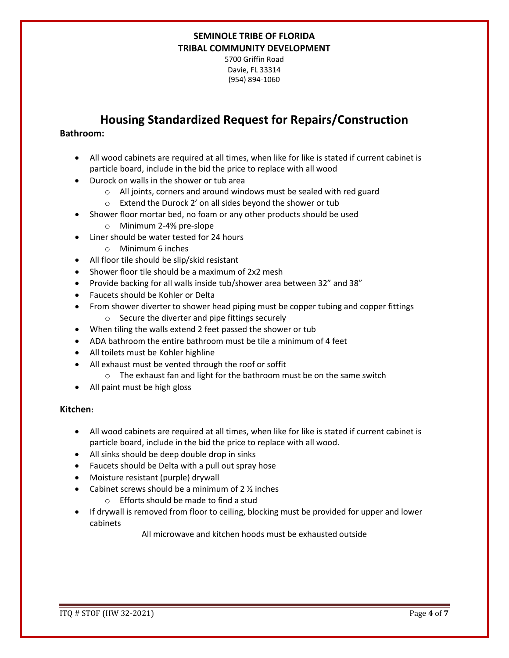5700 Griffin Road Davie, FL 33314 (954) 894-1060

## **Housing Standardized Request for Repairs/Construction**

### **Bathroom:**

- All wood cabinets are required at all times, when like for like is stated if current cabinet is particle board, include in the bid the price to replace with all wood
- Durock on walls in the shower or tub area
	- o All joints, corners and around windows must be sealed with red guard
	- o Extend the Durock 2' on all sides beyond the shower or tub
- Shower floor mortar bed, no foam or any other products should be used
	- o Minimum 2-4% pre-slope
- Liner should be water tested for 24 hours
	- o Minimum 6 inches
- All floor tile should be slip/skid resistant
- Shower floor tile should be a maximum of 2x2 mesh
- Provide backing for all walls inside tub/shower area between 32" and 38"
- Faucets should be Kohler or Delta
- From shower diverter to shower head piping must be copper tubing and copper fittings
	- o Secure the diverter and pipe fittings securely
- When tiling the walls extend 2 feet passed the shower or tub
- ADA bathroom the entire bathroom must be tile a minimum of 4 feet
- All toilets must be Kohler highline
- All exhaust must be vented through the roof or soffit
	- o The exhaust fan and light for the bathroom must be on the same switch
- All paint must be high gloss

### **Kitchen:**

- All wood cabinets are required at all times, when like for like is stated if current cabinet is particle board, include in the bid the price to replace with all wood.
- All sinks should be deep double drop in sinks
- Faucets should be Delta with a pull out spray hose
- Moisture resistant (purple) drywall
- Cabinet screws should be a minimum of  $2 \frac{1}{2}$  inches
	- o Efforts should be made to find a stud
- If drywall is removed from floor to ceiling, blocking must be provided for upper and lower cabinets

All microwave and kitchen hoods must be exhausted outside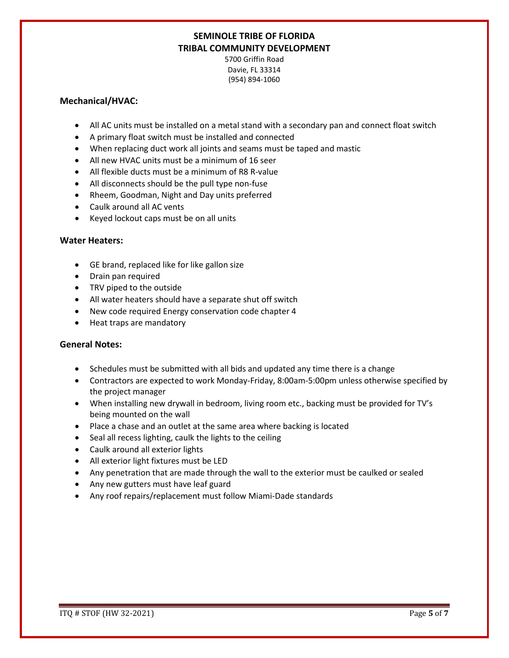5700 Griffin Road Davie, FL 33314 (954) 894-1060

### **Mechanical/HVAC:**

- All AC units must be installed on a metal stand with a secondary pan and connect float switch
- A primary float switch must be installed and connected
- When replacing duct work all joints and seams must be taped and mastic
- All new HVAC units must be a minimum of 16 seer
- All flexible ducts must be a minimum of R8 R-value
- All disconnects should be the pull type non-fuse
- Rheem, Goodman, Night and Day units preferred
- Caulk around all AC vents
- Keyed lockout caps must be on all units

### **Water Heaters:**

- GE brand, replaced like for like gallon size
- Drain pan required
- TRV piped to the outside
- All water heaters should have a separate shut off switch
- New code required Energy conservation code chapter 4
- Heat traps are mandatory

### **General Notes:**

- Schedules must be submitted with all bids and updated any time there is a change
- Contractors are expected to work Monday-Friday, 8:00am-5:00pm unless otherwise specified by the project manager
- When installing new drywall in bedroom, living room etc., backing must be provided for TV's being mounted on the wall
- Place a chase and an outlet at the same area where backing is located
- Seal all recess lighting, caulk the lights to the ceiling
- Caulk around all exterior lights
- All exterior light fixtures must be LED
- Any penetration that are made through the wall to the exterior must be caulked or sealed
- Any new gutters must have leaf guard
- Any roof repairs/replacement must follow Miami-Dade standards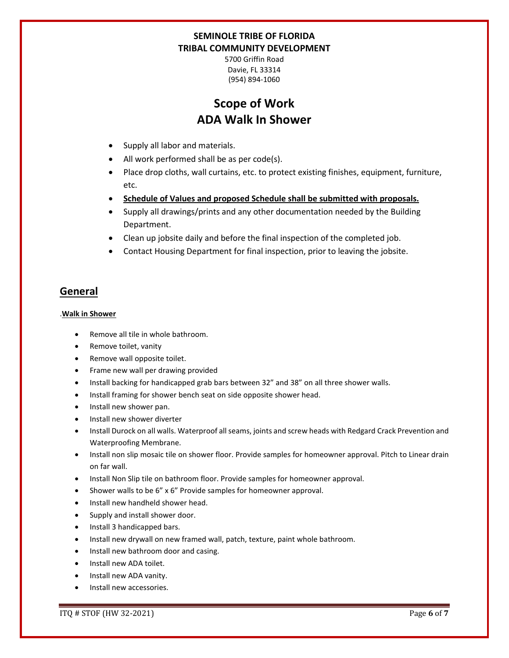5700 Griffin Road Davie, FL 33314 (954) 894-1060

# **Scope of Work ADA Walk In Shower**

- Supply all labor and materials.
- All work performed shall be as per code(s).
- Place drop cloths, wall curtains, etc. to protect existing finishes, equipment, furniture, etc.
- **Schedule of Values and proposed Schedule shall be submitted with proposals.**
- Supply all drawings/prints and any other documentation needed by the Building Department.
- Clean up jobsite daily and before the final inspection of the completed job.
- Contact Housing Department for final inspection, prior to leaving the jobsite.

## **General**

#### .**Walk in Shower**

- Remove all tile in whole bathroom.
- Remove toilet, vanity
- Remove wall opposite toilet.
- Frame new wall per drawing provided
- Install backing for handicapped grab bars between 32" and 38" on all three shower walls.
- Install framing for shower bench seat on side opposite shower head.
- Install new shower pan.
- Install new shower diverter
- Install Durock on all walls. Waterproof all seams, joints and screw heads with Redgard Crack Prevention and Waterproofing Membrane.
- Install non slip mosaic tile on shower floor. Provide samples for homeowner approval. Pitch to Linear drain on far wall.
- Install Non Slip tile on bathroom floor. Provide samples for homeowner approval.
- Shower walls to be 6" x 6" Provide samples for homeowner approval.
- Install new handheld shower head.
- Supply and install shower door.
- Install 3 handicapped bars.
- Install new drywall on new framed wall, patch, texture, paint whole bathroom.
- Install new bathroom door and casing.
- Install new ADA toilet.
- Install new ADA vanity.
- Install new accessories.

ITQ # STOF (HW 32-2021) Page **6** of **7**